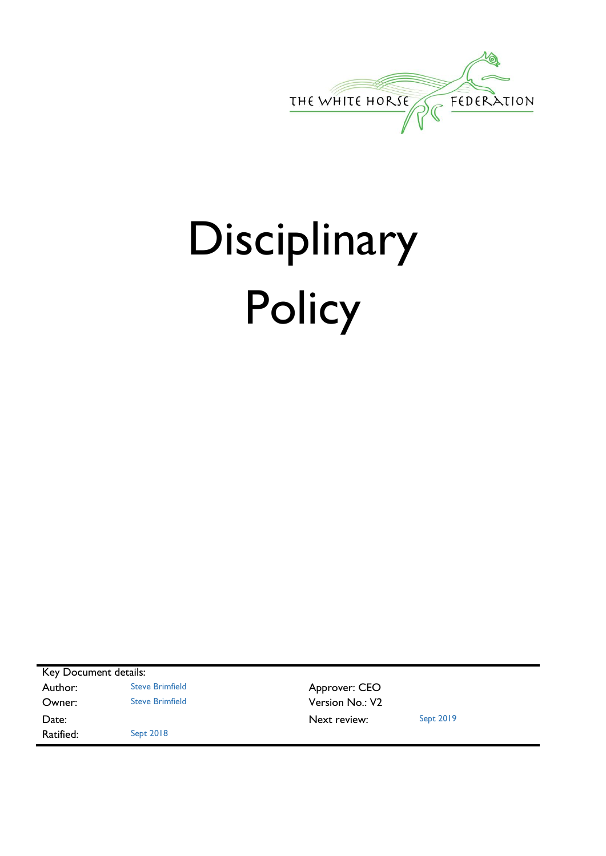

# Disciplinary **Policy**

Key Document details: Author: Steve Brimfield **Author:** Steve Brimfield **Approver: CEO Owner:** Steve Brimfield **Version No.: V2** Date: Sept 2019 Ratified: Sept 2018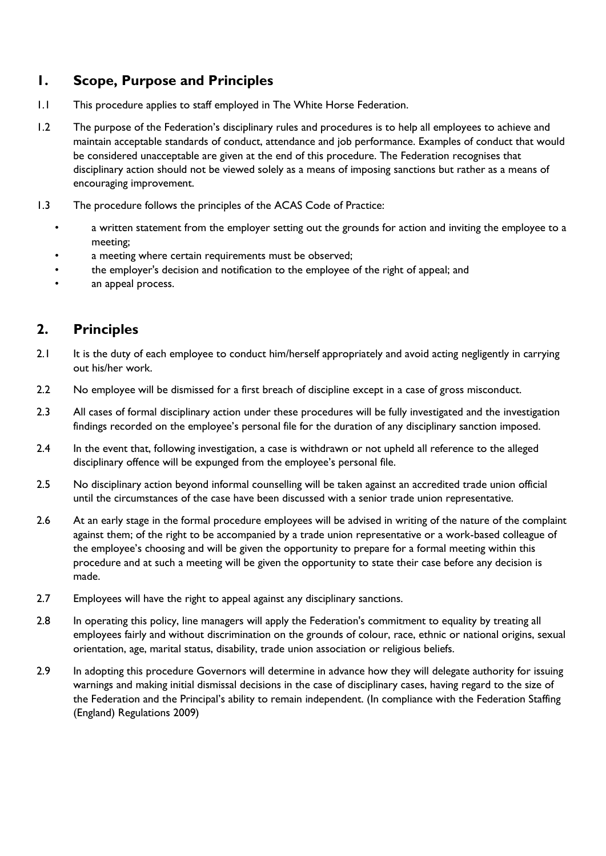## **1. Scope, Purpose and Principles**

- 1.1 This procedure applies to staff employed in The White Horse Federation.
- 1.2 The purpose of the Federation's disciplinary rules and procedures is to help all employees to achieve and maintain acceptable standards of conduct, attendance and job performance. Examples of conduct that would be considered unacceptable are given at the end of this procedure. The Federation recognises that disciplinary action should not be viewed solely as a means of imposing sanctions but rather as a means of encouraging improvement.
- 1.3 The procedure follows the principles of the ACAS Code of Practice:
	- a written statement from the employer setting out the grounds for action and inviting the employee to a meeting;
	- a meeting where certain requirements must be observed;
	- the employer's decision and notification to the employee of the right of appeal; and
	- an appeal process.

## **2. Principles**

- 2.1 It is the duty of each employee to conduct him/herself appropriately and avoid acting negligently in carrying out his/her work.
- 2.2 No employee will be dismissed for a first breach of discipline except in a case of gross misconduct.
- 2.3 All cases of formal disciplinary action under these procedures will be fully investigated and the investigation findings recorded on the employee's personal file for the duration of any disciplinary sanction imposed.
- 2.4 In the event that, following investigation, a case is withdrawn or not upheld all reference to the alleged disciplinary offence will be expunged from the employee's personal file.
- 2.5 No disciplinary action beyond informal counselling will be taken against an accredited trade union official until the circumstances of the case have been discussed with a senior trade union representative.
- 2.6 At an early stage in the formal procedure employees will be advised in writing of the nature of the complaint against them; of the right to be accompanied by a trade union representative or a work-based colleague of the employee's choosing and will be given the opportunity to prepare for a formal meeting within this procedure and at such a meeting will be given the opportunity to state their case before any decision is made.
- 2.7 Employees will have the right to appeal against any disciplinary sanctions.
- 2.8 In operating this policy, line managers will apply the Federation's commitment to equality by treating all employees fairly and without discrimination on the grounds of colour, race, ethnic or national origins, sexual orientation, age, marital status, disability, trade union association or religious beliefs.
- 2.9 In adopting this procedure Governors will determine in advance how they will delegate authority for issuing warnings and making initial dismissal decisions in the case of disciplinary cases, having regard to the size of the Federation and the Principal's ability to remain independent. (In compliance with the Federation Staffing (England) Regulations 2009)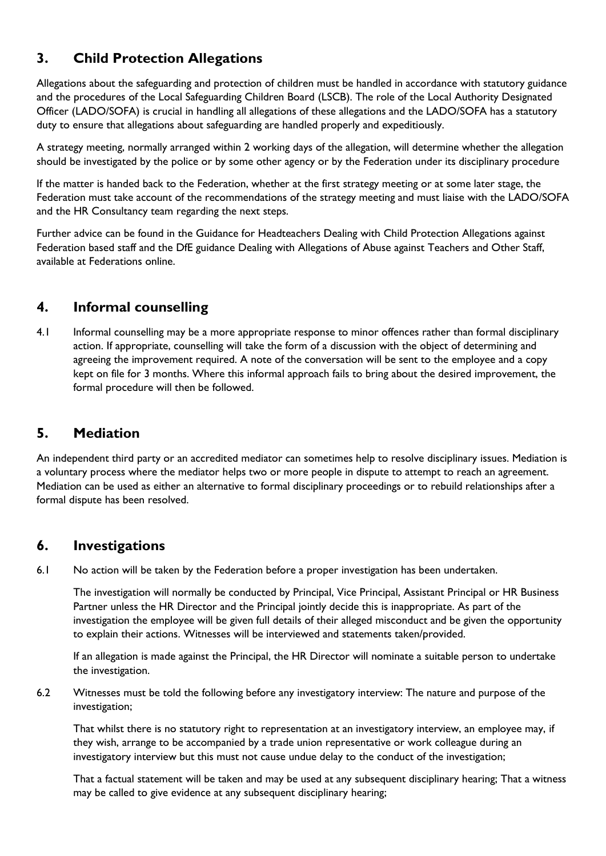## **3. Child Protection Allegations**

Allegations about the safeguarding and protection of children must be handled in accordance with statutory guidance and the procedures of the Local Safeguarding Children Board (LSCB). The role of the Local Authority Designated Officer (LADO/SOFA) is crucial in handling all allegations of these allegations and the LADO/SOFA has a statutory duty to ensure that allegations about safeguarding are handled properly and expeditiously.

A strategy meeting, normally arranged within 2 working days of the allegation, will determine whether the allegation should be investigated by the police or by some other agency or by the Federation under its disciplinary procedure

If the matter is handed back to the Federation, whether at the first strategy meeting or at some later stage, the Federation must take account of the recommendations of the strategy meeting and must liaise with the LADO/SOFA and the HR Consultancy team regarding the next steps.

Further advice can be found in the Guidance for Headteachers Dealing with Child Protection Allegations against Federation based staff and the DfE guidance Dealing with Allegations of Abuse against Teachers and Other Staff, available at Federations online.

## **4. Informal counselling**

4.1 Informal counselling may be a more appropriate response to minor offences rather than formal disciplinary action. If appropriate, counselling will take the form of a discussion with the object of determining and agreeing the improvement required. A note of the conversation will be sent to the employee and a copy kept on file for 3 months. Where this informal approach fails to bring about the desired improvement, the formal procedure will then be followed.

## **5. Mediation**

An independent third party or an accredited mediator can sometimes help to resolve disciplinary issues. Mediation is a voluntary process where the mediator helps two or more people in dispute to attempt to reach an agreement. Mediation can be used as either an alternative to formal disciplinary proceedings or to rebuild relationships after a formal dispute has been resolved.

## **6. Investigations**

6.1 No action will be taken by the Federation before a proper investigation has been undertaken.

The investigation will normally be conducted by Principal, Vice Principal, Assistant Principal or HR Business Partner unless the HR Director and the Principal jointly decide this is inappropriate. As part of the investigation the employee will be given full details of their alleged misconduct and be given the opportunity to explain their actions. Witnesses will be interviewed and statements taken/provided.

If an allegation is made against the Principal, the HR Director will nominate a suitable person to undertake the investigation.

6.2 Witnesses must be told the following before any investigatory interview: The nature and purpose of the investigation;

That whilst there is no statutory right to representation at an investigatory interview, an employee may, if they wish, arrange to be accompanied by a trade union representative or work colleague during an investigatory interview but this must not cause undue delay to the conduct of the investigation;

That a factual statement will be taken and may be used at any subsequent disciplinary hearing; That a witness may be called to give evidence at any subsequent disciplinary hearing;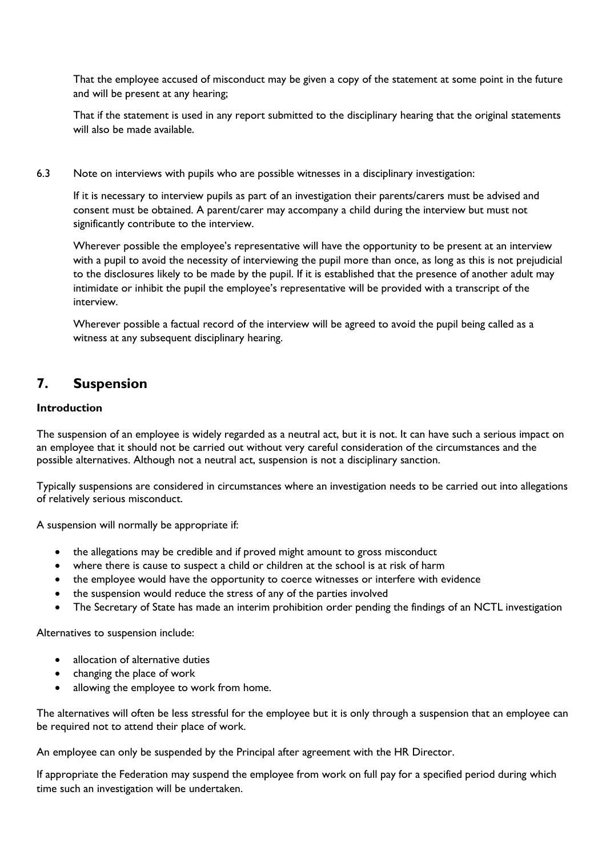That the employee accused of misconduct may be given a copy of the statement at some point in the future and will be present at any hearing;

That if the statement is used in any report submitted to the disciplinary hearing that the original statements will also be made available.

6.3 Note on interviews with pupils who are possible witnesses in a disciplinary investigation:

If it is necessary to interview pupils as part of an investigation their parents/carers must be advised and consent must be obtained. A parent/carer may accompany a child during the interview but must not significantly contribute to the interview.

Wherever possible the employee's representative will have the opportunity to be present at an interview with a pupil to avoid the necessity of interviewing the pupil more than once, as long as this is not prejudicial to the disclosures likely to be made by the pupil. If it is established that the presence of another adult may intimidate or inhibit the pupil the employee's representative will be provided with a transcript of the interview.

Wherever possible a factual record of the interview will be agreed to avoid the pupil being called as a witness at any subsequent disciplinary hearing.

## **7. Suspension**

#### **Introduction**

The suspension of an employee is widely regarded as a neutral act, but it is not. It can have such a serious impact on an employee that it should not be carried out without very careful consideration of the circumstances and the possible alternatives. Although not a neutral act, suspension is not a disciplinary sanction.

Typically suspensions are considered in circumstances where an investigation needs to be carried out into allegations of relatively serious misconduct.

A suspension will normally be appropriate if:

- the allegations may be credible and if proved might amount to gross misconduct
- where there is cause to suspect a child or children at the school is at risk of harm
- the employee would have the opportunity to coerce witnesses or interfere with evidence
- the suspension would reduce the stress of any of the parties involved
- The Secretary of State has made an interim prohibition order pending the findings of an NCTL investigation

Alternatives to suspension include:

- allocation of alternative duties
- changing the place of work
- allowing the employee to work from home.

The alternatives will often be less stressful for the employee but it is only through a suspension that an employee can be required not to attend their place of work.

An employee can only be suspended by the Principal after agreement with the HR Director.

If appropriate the Federation may suspend the employee from work on full pay for a specified period during which time such an investigation will be undertaken.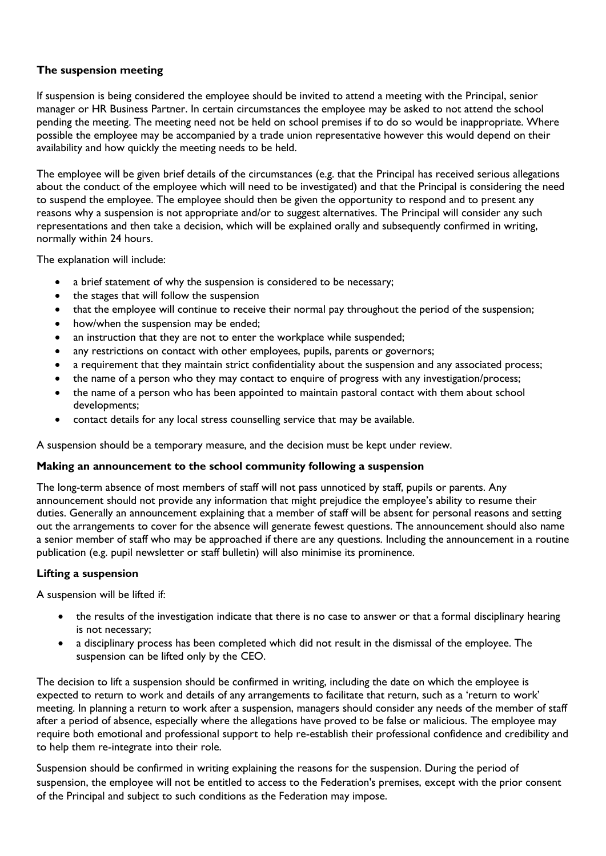#### **The suspension meeting**

If suspension is being considered the employee should be invited to attend a meeting with the Principal, senior manager or HR Business Partner. In certain circumstances the employee may be asked to not attend the school pending the meeting. The meeting need not be held on school premises if to do so would be inappropriate. Where possible the employee may be accompanied by a trade union representative however this would depend on their availability and how quickly the meeting needs to be held.

The employee will be given brief details of the circumstances (e.g. that the Principal has received serious allegations about the conduct of the employee which will need to be investigated) and that the Principal is considering the need to suspend the employee. The employee should then be given the opportunity to respond and to present any reasons why a suspension is not appropriate and/or to suggest alternatives. The Principal will consider any such representations and then take a decision, which will be explained orally and subsequently confirmed in writing, normally within 24 hours.

The explanation will include:

- a brief statement of why the suspension is considered to be necessary;
- the stages that will follow the suspension
- that the employee will continue to receive their normal pay throughout the period of the suspension;
- how/when the suspension may be ended;
- an instruction that they are not to enter the workplace while suspended;
- any restrictions on contact with other employees, pupils, parents or governors;
- a requirement that they maintain strict confidentiality about the suspension and any associated process;
- the name of a person who they may contact to enquire of progress with any investigation/process;
- the name of a person who has been appointed to maintain pastoral contact with them about school developments;
- contact details for any local stress counselling service that may be available.

A suspension should be a temporary measure, and the decision must be kept under review.

#### **Making an announcement to the school community following a suspension**

The long-term absence of most members of staff will not pass unnoticed by staff, pupils or parents. Any announcement should not provide any information that might prejudice the employee's ability to resume their duties. Generally an announcement explaining that a member of staff will be absent for personal reasons and setting out the arrangements to cover for the absence will generate fewest questions. The announcement should also name a senior member of staff who may be approached if there are any questions. Including the announcement in a routine publication (e.g. pupil newsletter or staff bulletin) will also minimise its prominence.

#### **Lifting a suspension**

A suspension will be lifted if:

- the results of the investigation indicate that there is no case to answer or that a formal disciplinary hearing is not necessary;
- a disciplinary process has been completed which did not result in the dismissal of the employee. The suspension can be lifted only by the CEO.

The decision to lift a suspension should be confirmed in writing, including the date on which the employee is expected to return to work and details of any arrangements to facilitate that return, such as a 'return to work' meeting. In planning a return to work after a suspension, managers should consider any needs of the member of staff after a period of absence, especially where the allegations have proved to be false or malicious. The employee may require both emotional and professional support to help re-establish their professional confidence and credibility and to help them re-integrate into their role.

Suspension should be confirmed in writing explaining the reasons for the suspension. During the period of suspension, the employee will not be entitled to access to the Federation's premises, except with the prior consent of the Principal and subject to such conditions as the Federation may impose.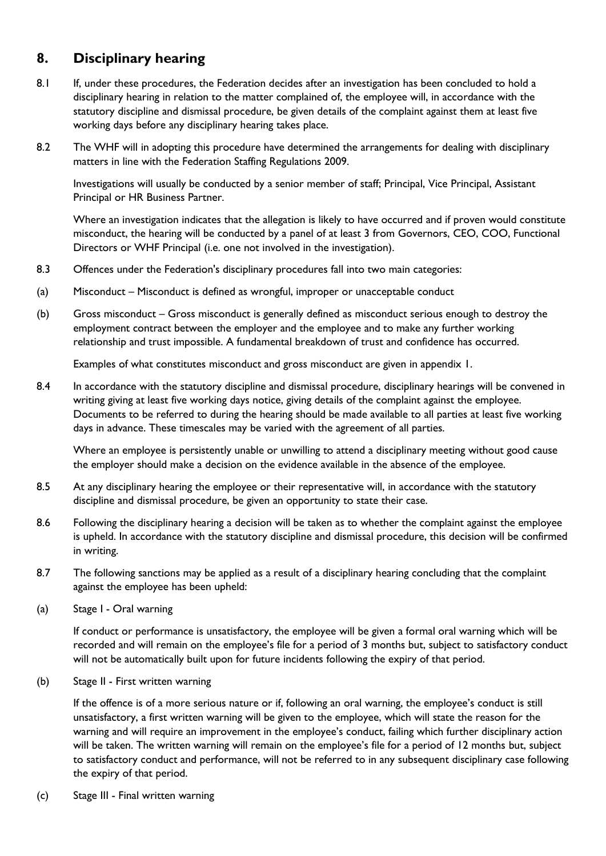## **8. Disciplinary hearing**

- 8.1 If, under these procedures, the Federation decides after an investigation has been concluded to hold a disciplinary hearing in relation to the matter complained of, the employee will, in accordance with the statutory discipline and dismissal procedure, be given details of the complaint against them at least five working days before any disciplinary hearing takes place.
- 8.2 The WHF will in adopting this procedure have determined the arrangements for dealing with disciplinary matters in line with the Federation Staffing Regulations 2009.

Investigations will usually be conducted by a senior member of staff; Principal, Vice Principal, Assistant Principal or HR Business Partner.

Where an investigation indicates that the allegation is likely to have occurred and if proven would constitute misconduct, the hearing will be conducted by a panel of at least 3 from Governors, CEO, COO, Functional Directors or WHF Principal (i.e. one not involved in the investigation).

- 8.3 Offences under the Federation's disciplinary procedures fall into two main categories:
- (a) Misconduct Misconduct is defined as wrongful, improper or unacceptable conduct
- (b) Gross misconduct Gross misconduct is generally defined as misconduct serious enough to destroy the employment contract between the employer and the employee and to make any further working relationship and trust impossible. A fundamental breakdown of trust and confidence has occurred.

Examples of what constitutes misconduct and gross misconduct are given in appendix 1.

8.4 In accordance with the statutory discipline and dismissal procedure, disciplinary hearings will be convened in writing giving at least five working days notice, giving details of the complaint against the employee. Documents to be referred to during the hearing should be made available to all parties at least five working days in advance. These timescales may be varied with the agreement of all parties.

Where an employee is persistently unable or unwilling to attend a disciplinary meeting without good cause the employer should make a decision on the evidence available in the absence of the employee.

- 8.5 At any disciplinary hearing the employee or their representative will, in accordance with the statutory discipline and dismissal procedure, be given an opportunity to state their case.
- 8.6 Following the disciplinary hearing a decision will be taken as to whether the complaint against the employee is upheld. In accordance with the statutory discipline and dismissal procedure, this decision will be confirmed in writing.
- 8.7 The following sanctions may be applied as a result of a disciplinary hearing concluding that the complaint against the employee has been upheld:
- (a) Stage I Oral warning

If conduct or performance is unsatisfactory, the employee will be given a formal oral warning which will be recorded and will remain on the employee's file for a period of 3 months but, subject to satisfactory conduct will not be automatically built upon for future incidents following the expiry of that period.

(b) Stage II - First written warning

If the offence is of a more serious nature or if, following an oral warning, the employee's conduct is still unsatisfactory, a first written warning will be given to the employee, which will state the reason for the warning and will require an improvement in the employee's conduct, failing which further disciplinary action will be taken. The written warning will remain on the employee's file for a period of 12 months but, subject to satisfactory conduct and performance, will not be referred to in any subsequent disciplinary case following the expiry of that period.

(c) Stage III - Final written warning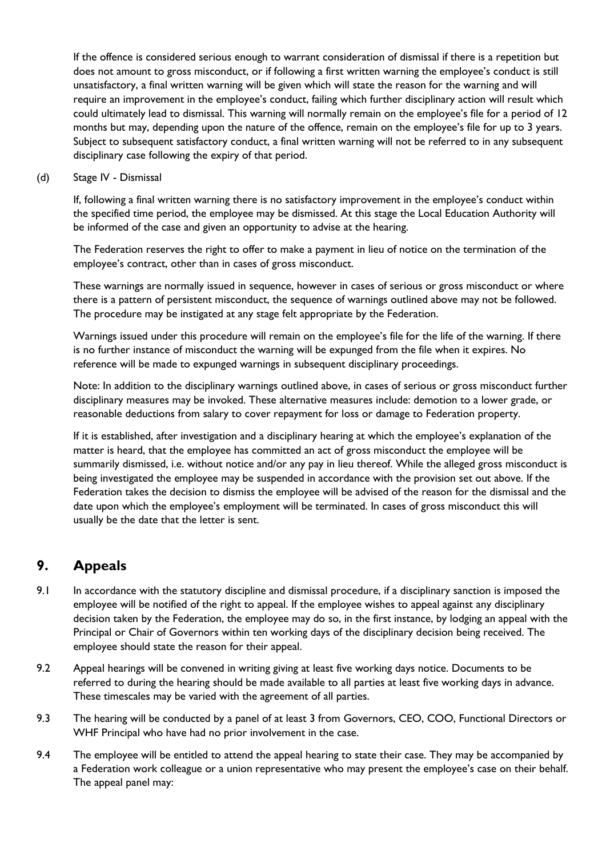If the offence is considered serious enough to warrant consideration of dismissal if there is a repetition but does not amount to gross misconduct, or if following a first written warning the employee's conduct is still unsatisfactory, a final written warning will be given which will state the reason for the warning and will require an improvement in the employee's conduct, failing which further disciplinary action will result which could ultimately lead to dismissal. This warning will normally remain on the employee's file for a period of 12 months but may, depending upon the nature of the offence, remain on the employee's file for up to 3 years. Subject to subsequent satisfactory conduct, a final written warning will not be referred to in any subsequent disciplinary case following the expiry of that period.

(d) Stage IV - Dismissal

If, following a final written warning there is no satisfactory improvement in the employee's conduct within the specified time period, the employee may be dismissed. At this stage the Local Education Authority will be informed of the case and given an opportunity to advise at the hearing.

The Federation reserves the right to offer to make a payment in lieu of notice on the termination of the employee's contract, other than in cases of gross misconduct.

These warnings are normally issued in sequence, however in cases of serious or gross misconduct or where there is a pattern of persistent misconduct, the sequence of warnings outlined above may not be followed. The procedure may be instigated at any stage felt appropriate by the Federation.

Warnings issued under this procedure will remain on the employee's file for the life of the warning. If there is no further instance of misconduct the warning will be expunged from the file when it expires. No reference will be made to expunged warnings in subsequent disciplinary proceedings.

Note: In addition to the disciplinary warnings outlined above, in cases of serious or gross misconduct further disciplinary measures may be invoked. These alternative measures include: demotion to a lower grade, or reasonable deductions from salary to cover repayment for loss or damage to Federation property.

If it is established, after investigation and a disciplinary hearing at which the employee's explanation of the matter is heard, that the employee has committed an act of gross misconduct the employee will be summarily dismissed, i.e. without notice and/or any pay in lieu thereof. While the alleged gross misconduct is being investigated the employee may be suspended in accordance with the provision set out above. If the Federation takes the decision to dismiss the employee will be advised of the reason for the dismissal and the date upon which the employee's employment will be terminated. In cases of gross misconduct this will usually be the date that the letter is sent.

## **9. Appeals**

- 9.1 In accordance with the statutory discipline and dismissal procedure, if a disciplinary sanction is imposed the employee will be notified of the right to appeal. If the employee wishes to appeal against any disciplinary decision taken by the Federation, the employee may do so, in the first instance, by lodging an appeal with the Principal or Chair of Governors within ten working days of the disciplinary decision being received. The employee should state the reason for their appeal.
- 9.2 Appeal hearings will be convened in writing giving at least five working days notice. Documents to be referred to during the hearing should be made available to all parties at least five working days in advance. These timescales may be varied with the agreement of all parties.
- 9.3 The hearing will be conducted by a panel of at least 3 from Governors, CEO, COO, Functional Directors or WHF Principal who have had no prior involvement in the case.
- 9.4 The employee will be entitled to attend the appeal hearing to state their case. They may be accompanied by a Federation work colleague or a union representative who may present the employee's case on their behalf. The appeal panel may: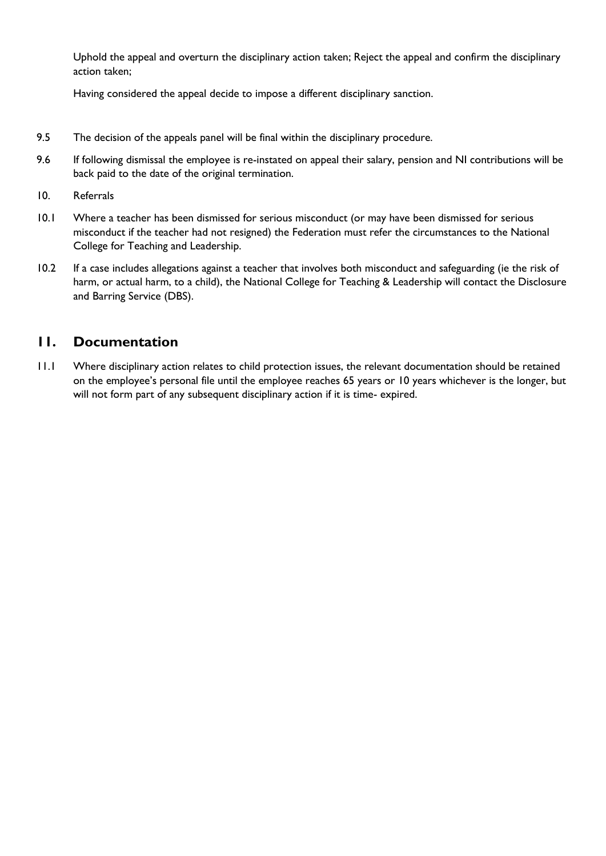Uphold the appeal and overturn the disciplinary action taken; Reject the appeal and confirm the disciplinary action taken;

Having considered the appeal decide to impose a different disciplinary sanction.

- 9.5 The decision of the appeals panel will be final within the disciplinary procedure.
- 9.6 If following dismissal the employee is re-instated on appeal their salary, pension and NI contributions will be back paid to the date of the original termination.
- 10. Referrals
- 10.1 Where a teacher has been dismissed for serious misconduct (or may have been dismissed for serious misconduct if the teacher had not resigned) the Federation must refer the circumstances to the National College for Teaching and Leadership.
- 10.2 If a case includes allegations against a teacher that involves both misconduct and safeguarding (ie the risk of harm, or actual harm, to a child), the National College for Teaching & Leadership will contact the Disclosure and Barring Service (DBS).

### **11. Documentation**

11.1 Where disciplinary action relates to child protection issues, the relevant documentation should be retained on the employee's personal file until the employee reaches 65 years or 10 years whichever is the longer, but will not form part of any subsequent disciplinary action if it is time- expired.